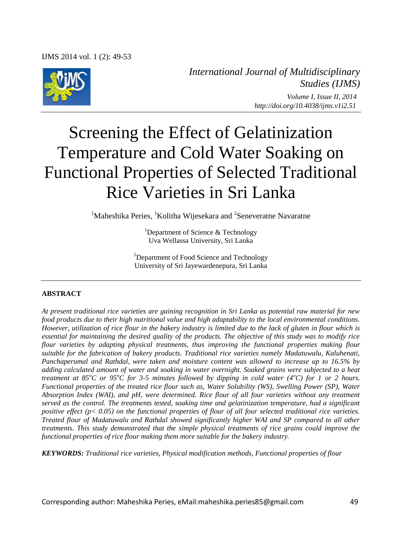

*International Journal of Multidisciplinary Studies (IJMS) Volume I, Issue II, 2014 http://doi.org/10.4038/ijms.v1i2.51*

# Screening the Effect of Gelatinization Temperature and Cold Water Soaking on Functional Properties of Selected Traditional Rice Varieties in Sri Lanka

<sup>1</sup>Maheshika Peries, <sup>1</sup>Kolitha Wijesekara and <sup>2</sup>Seneveratne Navaratne

<sup>1</sup>Department of Science  $\&$  Technology Uva Wellassa University, Sri Lanka

 $2$ Department of Food Science and Technology University of Sri Jayewardenepura, Sri Lanka

#### **ABSTRACT**

*At present traditional rice varieties are gaining recognition in Sri Lanka as potential raw material for new food products due to their high nutritional value and high adaptability to the local environmental conditions. However, utilization of rice flour in the bakery industry is limited due to the lack of gluten in flour which is essential for maintaining the desired quality of the products. The objective of this study was to modify rice flour varieties by adapting physical treatments, thus improving the functional properties making flour suitable for the fabrication of bakery products. Traditional rice varieties namely Madatuwalu, Kaluhenati, Panchaperumal and Rathdal, were taken and moisture content was allowed to increase up to 16.5% by adding calculated amount of water and soaking in water overnight. Soaked grains were subjected to a heat treatment at 85<sup>o</sup>C or 95<sup>o</sup>C for 3-5 minutes followed by dipping in cold water (4<sup>o</sup>C) for 1 or 2 hours. Functional properties of the treated rice flour such as, Water Solubility (WS), Swelling Power (SP), Water Absorption Index (WAI), and pH, were determined. Rice flour of all four varieties without any treatment served as the control. The treatments tested, soaking time and gelatinization temperature, had a significant positive effect (p< 0.05) on the functional properties of flour of all four selected traditional rice varieties. Treated flour of Madatuwalu and Rathdal showed significantly higher WAI and SP compared to all other treatments. This study demonstrated that the simple physical treatments of rice grains could improve the functional properties of rice flour making them more suitable for the bakery industry.* 

*KEYWORDS: Traditional rice varieties, Physical modification methods, Functional properties of flour*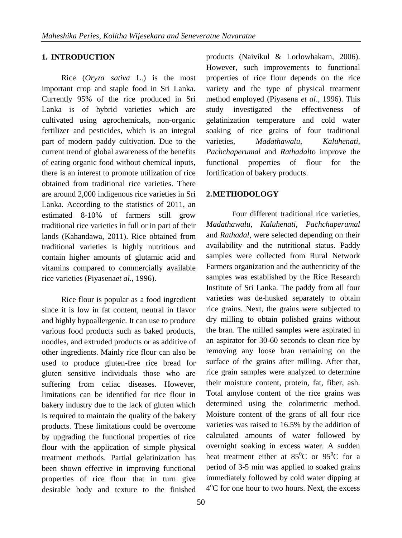### **1. INTRODUCTION**

Rice (*Oryza sativa* L.) is the most important crop and staple food in Sri Lanka. Currently 95% of the rice produced in Sri Lanka is of hybrid varieties which are cultivated using agrochemicals, non-organic fertilizer and pesticides, which is an integral part of modern paddy cultivation. Due to the current trend of global awareness of the benefits of eating organic food without chemical inputs, there is an interest to promote utilization of rice obtained from traditional rice varieties. There are around 2,000 indigenous rice varieties in Sri Lanka. According to the statistics of 2011, an estimated 8-10% of farmers still grow traditional rice varieties in full or in part of their lands (Kahandawa, 2011). Rice obtained from traditional varieties is highly nutritious and contain higher amounts of glutamic acid and vitamins compared to commercially available rice varieties (Piyasena*et al*., 1996).

Rice flour is popular as a food ingredient since it is low in fat content, neutral in flavor and highly hypoallergenic. It can use to produce various food products such as baked products, noodles, and extruded products or as additive of other ingredients. Mainly rice flour can also be used to produce gluten-free rice bread for gluten sensitive individuals those who are suffering from celiac diseases. However, limitations can be identified for rice flour in bakery industry due to the lack of gluten which is required to maintain the quality of the bakery products. These limitations could be overcome by upgrading the functional properties of rice flour with the application of simple physical treatment methods. Partial gelatinization has been shown effective in improving functional properties of rice flour that in turn give desirable body and texture to the finished

products (Naivikul & Lorlowhakarn, 2006). However, such improvements to functional properties of rice flour depends on the rice variety and the type of physical treatment method employed (Piyasena *et al*., 1996). This study investigated the effectiveness of gelatinization temperature and cold water soaking of rice grains of four traditional varieties, *Madathawalu*, *Kaluhenati*, *Pachchaperumal* and *Rathadal*to improve the functional properties of flour for the fortification of bakery products.

#### **2.METHODOLOGY**

Four different traditional rice varieties, *Madathawalu*, *Kaluhenati*, *Pachchaperumal* and *Rathadal*, were selected depending on their availability and the nutritional status. Paddy samples were collected from Rural Network Farmers organization and the authenticity of the samples was established by the Rice Research Institute of Sri Lanka. The paddy from all four varieties was de-husked separately to obtain rice grains. Next, the grains were subjected to dry milling to obtain polished grains without the bran. The milled samples were aspirated in an aspirator for 30-60 seconds to clean rice by removing any loose bran remaining on the surface of the grains after milling. After that, rice grain samples were analyzed to determine their moisture content, protein, fat, fiber, ash. Total amylose content of the rice grains was determined using the colorimetric method. Moisture content of the grans of all four rice varieties was raised to 16.5% by the addition of calculated amounts of water followed by overnight soaking in excess water. A sudden heat treatment either at  $85^{\circ}$ C or  $95^{\circ}$ C for a period of 3-5 min was applied to soaked grains immediately followed by cold water dipping at 4 <sup>o</sup>C for one hour to two hours. Next, the excess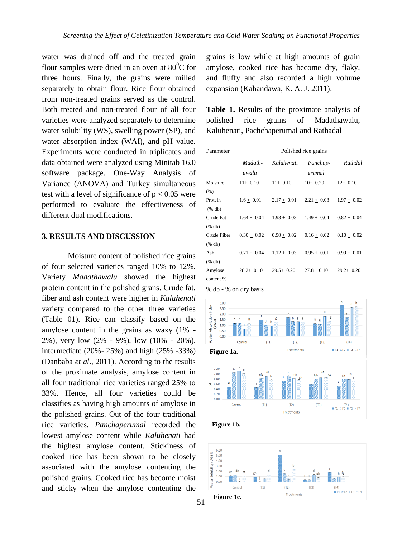water was drained off and the treated grain flour samples were dried in an oven at  $80^{\circ}$ C for three hours. Finally, the grains were milled separately to obtain flour. Rice flour obtained from non-treated grains served as the control. Both treated and non-treated flour of all four varieties were analyzed separately to determine water solubility (WS), swelling power (SP), and water absorption index (WAI), and pH value. Experiments were conducted in triplicates and data obtained were analyzed using Minitab 16.0 software package. One-Way Analysis of Variance (ANOVA) and Turkey simultaneous test with a level of significance of  $p < 0.05$  were performed to evaluate the effectiveness of different dual modifications.

#### **3. RESULTS AND DISCUSSION**

Moisture content of polished rice grains of four selected varieties ranged 10% to 12%. Variety *Madathawalu* showed the highest protein content in the polished grans. Crude fat, fiber and ash content were higher in *Kaluhenati* variety compared to the other three varieties (Table 01). Rice can classify based on the amylose content in the grains as waxy (1% - 2%), very low (2% - 9%), low (10% - 20%), intermediate (20%- 25%) and high (25% -33%) (Danbaba *et al*., 2011). According to the results of the proximate analysis, amylose content in all four traditional rice varieties ranged 25% to 33%. Hence, all four varieties could be classifies as having high amounts of amylose in the polished grains. Out of the four traditional rice varieties, *Panchaperumal* recorded the lowest amylose content while *Kaluhenati* had the highest amylose content. Stickiness of cooked rice has been shown to be closely associated with the amylose contenting the polished grains. Cooked rice has become moist and sticky when the amylose contenting the

grains is low while at high amounts of grain amylose, cooked rice has become dry, flaky, and fluffy and also recorded a high volume expansion (Kahandawa, K. A. J. 2011).

**Table 1.** Results of the proximate analysis of polished rice grains of Madathawalu, Kaluhenati, Pachchaperumal and Rathadal

| Parameter   | Polished rice grains |               |                    |               |
|-------------|----------------------|---------------|--------------------|---------------|
|             | Madath-<br>uwalu     | Kaluhenati    | Panchap-<br>erumal | Rathdal       |
| Moisture    | $11+0.10$            | $11+0.10$     | $10+0.20$          | $12+0.10$     |
| (% )        |                      |               |                    |               |
| Protein     | $1.6 + 0.01$         | $2.17 + 0.01$ | $2.21 \pm 0.03$    | $1.97 + 0.02$ |
| (% db)      |                      |               |                    |               |
| Crude Fat   | $1.64 + 0.04$        | $1.98 + 0.03$ | $1.49 + 0.04$      | $0.82 + 0.04$ |
| (% db)      |                      |               |                    |               |
| Crude Fiber | $0.30 + 0.02$        | $0.90 + 0.02$ | $0.16 + 0.02$      | $0.10 + 0.02$ |
| (% db)      |                      |               |                    |               |
| Ash         | $0.71 + 0.04$        | $1.12 + 0.03$ | $0.95 + 0.01$      | $0.99 + 0.01$ |
| (% db)      |                      |               |                    |               |
| Amylose     | $28.2 + 0.10$        | $29.5+0.20$   | $27.8 + 0.10$      | $29.2 + 0.20$ |
| content %   |                      |               |                    |               |





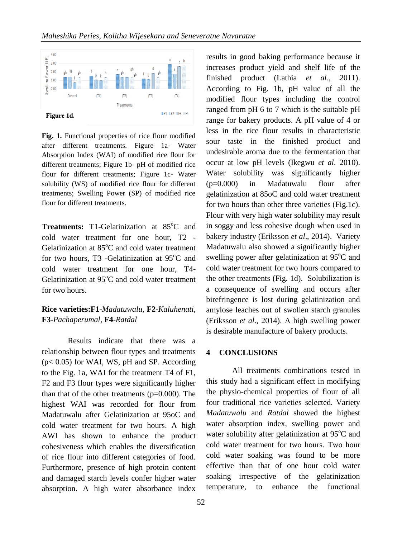

**Fig. 1.** Functional properties of rice flour modified after different treatments. Figure 1a- Water Absorption Index (WAI) of modified rice flour for different treatments; Figure 1b- pH of modified rice flour for different treatments; Figure 1c- Water solubility (WS) of modified rice flour for different treatments; Swelling Power (SP) of modified rice flour for different treatments.

**Treatments:** T1-Gelatinization at 85<sup>o</sup>C and cold water treatment for one hour, T2 - Gelatinization at  $85^{\circ}$ C and cold water treatment for two hours, T3 -Gelatinization at  $95^{\circ}$ C and cold water treatment for one hour, T4- Gelatinization at  $95^{\circ}$ C and cold water treatment for two hours.

## **Rice varieties:F1**-*Madatuwalu*, **F2**-*Kaluhenati*, **F3**-*Pachaperumal*, **F4**-*Ratdal*

Results indicate that there was a relationship between flour types and treatments  $(p< 0.05)$  for WAI, WS, pH and SP. According to the Fig. 1a, WAI for the treatment T4 of F1, F2 and F3 flour types were significantly higher than that of the other treatments  $(p=0.000)$ . The highest WAI was recorded for flour from Madatuwalu after Gelatinization at 95oC and cold water treatment for two hours. A high AWI has shown to enhance the product cohesiveness which enables the diversification of rice flour into different categories of food. Furthermore, presence of high protein content and damaged starch levels confer higher water absorption. A high water absorbance index

results in good baking performance because it increases product yield and shelf life of the finished product (Lathia *et al*., 2011). According to Fig. 1b, pH value of all the modified flour types including the control ranged from pH 6 to 7 which is the suitable pH range for bakery products. A pH value of 4 or less in the rice flour results in characteristic sour taste in the finished product and undesirable aroma due to the fermentation that occur at low pH levels (Ikegwu *et al*. 2010). Water solubility was significantly higher (p=0.000) in Madatuwalu flour after gelatinization at 85oC and cold water treatment for two hours than other three varieties (Fig.1c). Flour with very high water solubility may result in soggy and less cohesive dough when used in bakery industry (Eriksson *et al*., 2014). Variety Madatuwalu also showed a significantly higher swelling power after gelatinization at 95°C and cold water treatment for two hours compared to the other treatments (Fig. 1d). Solubilization is a consequence of swelling and occurs after birefringence is lost during gelatinization and amylose leaches out of swollen starch granules (Eriksson *et al*., 2014). A high swelling power is desirable manufacture of bakery products.

#### **4 CONCLUSIONS**

All treatments combinations tested in this study had a significant effect in modifying the physio-chemical properties of flour of all four traditional rice varieties selected. Variety *Madatuwalu* and *Ratdal* showed the highest water absorption index, swelling power and water solubility after gelatinization at  $95^{\circ}$ C and cold water treatment for two hours. Two hour cold water soaking was found to be more effective than that of one hour cold water soaking irrespective of the gelatinization temperature, to enhance the functional